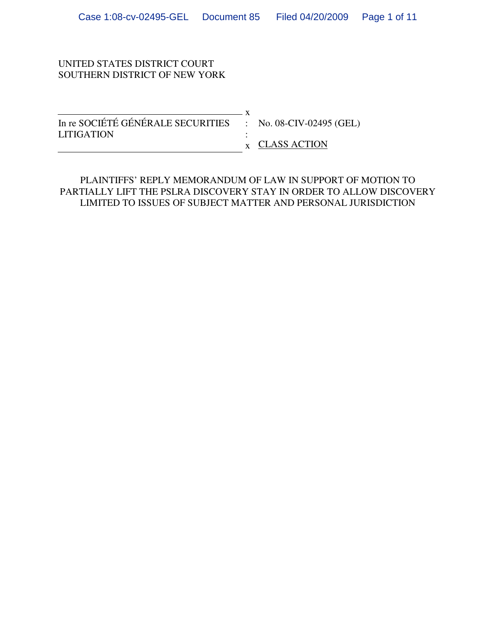#### UNITED STATES DISTRICT COURT SOUTHERN DISTRICT OF NEW YORK

| In re SOCIÉTÉ GÉNÉRALE SECURITIES : No. 08-CIV-02495 (GEL) |                               |
|------------------------------------------------------------|-------------------------------|
| <b>LITIGATION</b>                                          |                               |
|                                                            | $\boldsymbol{x}$ CLASS ACTION |

PLAINTIFFS' REPLY MEMORANDUM OF LAW IN SUPPORT OF MOTION TO PARTIALLY LIFT THE PSLRA DISCOVERY STAY IN ORDER TO ALLOW DISCOVERY LIMITED TO ISSUES OF SUBJECT MATTER AND PERSONAL JURISDICTION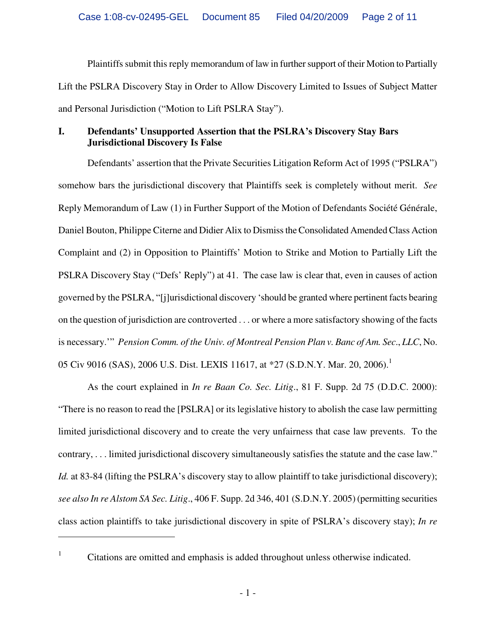Plaintiffs submit this reply memorandum of law in further support of their Motion to Partially Lift the PSLRA Discovery Stay in Order to Allow Discovery Limited to Issues of Subject Matter and Personal Jurisdiction ("Motion to Lift PSLRA Stay").

## **I. Defendants' Unsupported Assertion that the PSLRA's Discovery Stay Bars Jurisdictional Discovery Is False**

Defendants' assertion that the Private Securities Litigation Reform Act of 1995 ("PSLRA") somehow bars the jurisdictional discovery that Plaintiffs seek is completely without merit. *See* Reply Memorandum of Law (1) in Further Support of the Motion of Defendants Société Générale, Daniel Bouton, Philippe Citerne and Didier Alix to Dismiss the Consolidated Amended Class Action Complaint and (2) in Opposition to Plaintiffs' Motion to Strike and Motion to Partially Lift the PSLRA Discovery Stay ("Defs' Reply") at 41. The case law is clear that, even in causes of action governed by the PSLRA, "[j]urisdictional discovery 'should be granted where pertinent facts bearing on the question of jurisdiction are controverted . . . or where a more satisfactory showing of the facts is necessary.'" *Pension Comm. of the Univ. of Montreal Pension Plan v. Banc of Am. Sec*., *LLC*, No. 05 Civ 9016 (SAS), 2006 U.S. Dist. LEXIS 11617, at \*27 (S.D.N.Y. Mar. 20, 2006).<sup>1</sup>

As the court explained in *In re Baan Co. Sec. Litig*., 81 F. Supp. 2d 75 (D.D.C. 2000): "There is no reason to read the [PSLRA] or its legislative history to abolish the case law permitting limited jurisdictional discovery and to create the very unfairness that case law prevents. To the contrary, . . . limited jurisdictional discovery simultaneously satisfies the statute and the case law." *Id.* at 83-84 (lifting the PSLRA's discovery stay to allow plaintiff to take jurisdictional discovery); *see also In re Alstom SA Sec. Litig*., 406 F. Supp. 2d 346, 401 (S.D.N.Y. 2005) (permitting securities class action plaintiffs to take jurisdictional discovery in spite of PSLRA's discovery stay); *In re* 

 $\overline{a}$ 

<sup>1</sup> Citations are omitted and emphasis is added throughout unless otherwise indicated.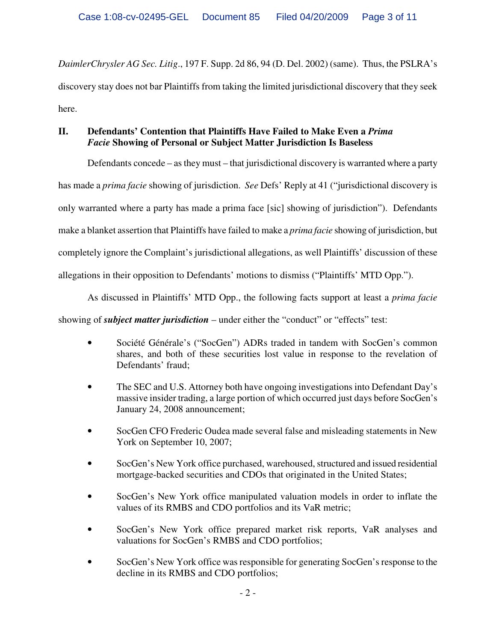*DaimlerChrysler AG Sec. Litig*., 197 F. Supp. 2d 86, 94 (D. Del. 2002) (same). Thus, the PSLRA's discovery stay does not bar Plaintiffs from taking the limited jurisdictional discovery that they seek here.

# **II. Defendants' Contention that Plaintiffs Have Failed to Make Even a** *Prima Facie* **Showing of Personal or Subject Matter Jurisdiction Is Baseless**

Defendants concede – as they must – that jurisdictional discovery is warranted where a party

has made a *prima facie* showing of jurisdiction. *See* Defs' Reply at 41 ("jurisdictional discovery is

only warranted where a party has made a prima face [sic] showing of jurisdiction"). Defendants

make a blanket assertion that Plaintiffs have failed to make a *prima facie* showing of jurisdiction, but

completely ignore the Complaint's jurisdictional allegations, as well Plaintiffs' discussion of these

allegations in their opposition to Defendants' motions to dismiss ("Plaintiffs' MTD Opp.").

As discussed in Plaintiffs' MTD Opp., the following facts support at least a *prima facie*

showing of *subject matter jurisdiction* – under either the "conduct" or "effects" test:

- Société Générale's ("SocGen") ADRs traded in tandem with SocGen's common shares, and both of these securities lost value in response to the revelation of Defendants' fraud;
- The SEC and U.S. Attorney both have ongoing investigations into Defendant Day's massive insider trading, a large portion of which occurred just days before SocGen's January 24, 2008 announcement;
- SocGen CFO Frederic Oudea made several false and misleading statements in New York on September 10, 2007;
- SocGen's New York office purchased, warehoused, structured and issued residential mortgage-backed securities and CDOs that originated in the United States;
- SocGen's New York office manipulated valuation models in order to inflate the values of its RMBS and CDO portfolios and its VaR metric;
- SocGen's New York office prepared market risk reports, VaR analyses and valuations for SocGen's RMBS and CDO portfolios;
- SocGen's New York office was responsible for generating SocGen's response to the decline in its RMBS and CDO portfolios;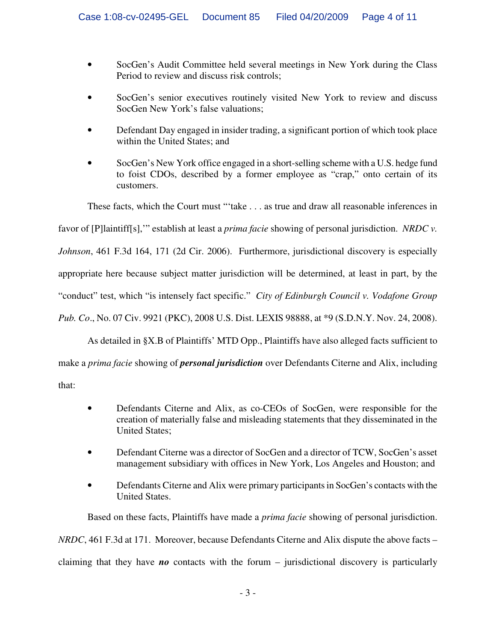- SocGen's Audit Committee held several meetings in New York during the Class Period to review and discuss risk controls;
- SocGen's senior executives routinely visited New York to review and discuss SocGen New York's false valuations;
- Defendant Day engaged in insider trading, a significant portion of which took place within the United States; and
- SocGen's New York office engaged in a short-selling scheme with a U.S. hedge fund to foist CDOs, described by a former employee as "crap," onto certain of its customers.

These facts, which the Court must "'take . . . as true and draw all reasonable inferences in favor of [P]laintiff[s],'" establish at least a *prima facie* showing of personal jurisdiction. *NRDC v. Johnson*, 461 F.3d 164, 171 (2d Cir. 2006). Furthermore, jurisdictional discovery is especially appropriate here because subject matter jurisdiction will be determined, at least in part, by the "conduct" test, which "is intensely fact specific." *City of Edinburgh Council v. Vodafone Group Pub. Co*., No. 07 Civ. 9921 (PKC), 2008 U.S. Dist. LEXIS 98888, at \*9 (S.D.N.Y. Nov. 24, 2008).

As detailed in §X.B of Plaintiffs' MTD Opp., Plaintiffs have also alleged facts sufficient to

make a *prima facie* showing of *personal jurisdiction* over Defendants Citerne and Alix, including

that:

- Defendants Citerne and Alix, as co-CEOs of SocGen, were responsible for the creation of materially false and misleading statements that they disseminated in the United States;
- Defendant Citerne was a director of SocGen and a director of TCW, SocGen's asset management subsidiary with offices in New York, Los Angeles and Houston; and
- Defendants Citerne and Alix were primary participants in SocGen's contacts with the United States.

Based on these facts, Plaintiffs have made a *prima facie* showing of personal jurisdiction. *NRDC*, 461 F.3d at 171. Moreover, because Defendants Citerne and Alix dispute the above facts –

claiming that they have *no* contacts with the forum – jurisdictional discovery is particularly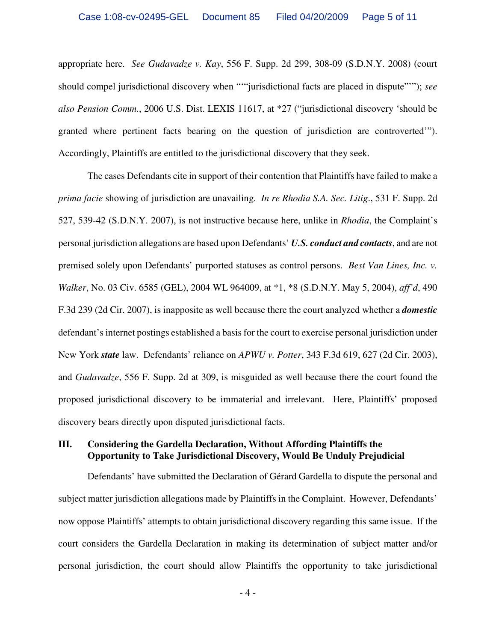appropriate here. *See Gudavadze v. Kay*, 556 F. Supp. 2d 299, 308-09 (S.D.N.Y. 2008) (court should compel jurisdictional discovery when "'"jurisdictional facts are placed in dispute"'"); *see also Pension Comm.*, 2006 U.S. Dist. LEXIS 11617, at \*27 ("jurisdictional discovery 'should be granted where pertinent facts bearing on the question of jurisdiction are controverted'"). Accordingly, Plaintiffs are entitled to the jurisdictional discovery that they seek.

The cases Defendants cite in support of their contention that Plaintiffs have failed to make a *prima facie* showing of jurisdiction are unavailing. *In re Rhodia S.A. Sec. Litig*., 531 F. Supp. 2d 527, 539-42 (S.D.N.Y. 2007), is not instructive because here, unlike in *Rhodia*, the Complaint's personal jurisdiction allegations are based upon Defendants' *U.S. conduct and contacts*, and are not premised solely upon Defendants' purported statuses as control persons. *Best Van Lines, Inc. v. Walker*, No. 03 Civ. 6585 (GEL), 2004 WL 964009, at \*1, \*8 (S.D.N.Y. May 5, 2004), *aff'd*, 490 F.3d 239 (2d Cir. 2007), is inapposite as well because there the court analyzed whether a *domestic* defendant's internet postings established a basis for the court to exercise personal jurisdiction under New York *state* law. Defendants' reliance on *APWU v. Potter*, 343 F.3d 619, 627 (2d Cir. 2003), and *Gudavadze*, 556 F. Supp. 2d at 309, is misguided as well because there the court found the proposed jurisdictional discovery to be immaterial and irrelevant. Here, Plaintiffs' proposed discovery bears directly upon disputed jurisdictional facts.

#### **III. Considering the Gardella Declaration, Without Affording Plaintiffs the Opportunity to Take Jurisdictional Discovery, Would Be Unduly Prejudicial**

Defendants' have submitted the Declaration of Gérard Gardella to dispute the personal and subject matter jurisdiction allegations made by Plaintiffs in the Complaint. However, Defendants' now oppose Plaintiffs' attempts to obtain jurisdictional discovery regarding this same issue. If the court considers the Gardella Declaration in making its determination of subject matter and/or personal jurisdiction, the court should allow Plaintiffs the opportunity to take jurisdictional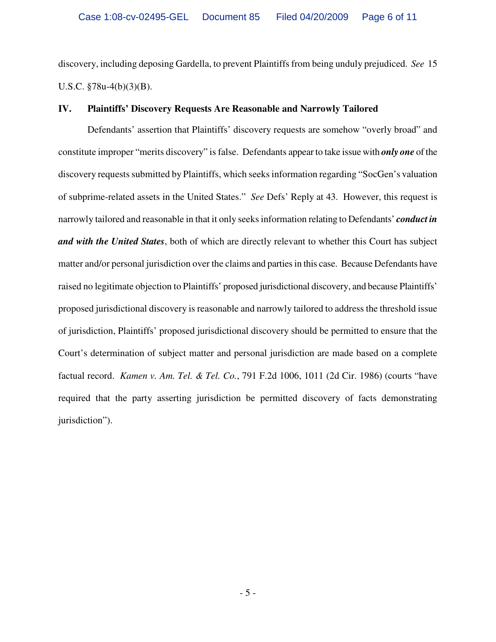discovery, including deposing Gardella, to prevent Plaintiffs from being unduly prejudiced. *See* 15 U.S.C. §78u-4(b)(3)(B).

#### **IV. Plaintiffs' Discovery Requests Are Reasonable and Narrowly Tailored**

Defendants' assertion that Plaintiffs' discovery requests are somehow "overly broad" and constitute improper "merits discovery" is false. Defendants appear to take issue with *only one* of the discovery requests submitted by Plaintiffs, which seeks information regarding "SocGen's valuation of subprime-related assets in the United States." *See* Defs' Reply at 43. However, this request is narrowly tailored and reasonable in that it only seeks information relating to Defendants' *conduct in and with the United States*, both of which are directly relevant to whether this Court has subject matter and/or personal jurisdiction over the claims and parties in this case. Because Defendants have raised no legitimate objection to Plaintiffs' proposed jurisdictional discovery, and because Plaintiffs' proposed jurisdictional discovery is reasonable and narrowly tailored to address the threshold issue of jurisdiction, Plaintiffs' proposed jurisdictional discovery should be permitted to ensure that the Court's determination of subject matter and personal jurisdiction are made based on a complete factual record. *Kamen v. Am. Tel. & Tel. Co.*, 791 F.2d 1006, 1011 (2d Cir. 1986) (courts "have required that the party asserting jurisdiction be permitted discovery of facts demonstrating jurisdiction").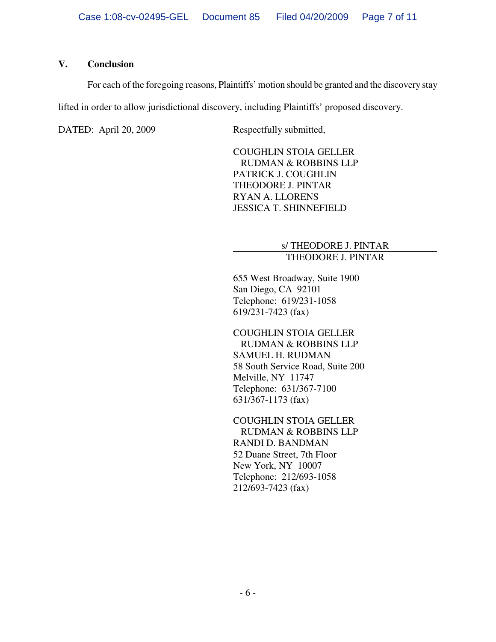#### **V. Conclusion**

For each of the foregoing reasons, Plaintiffs' motion should be granted and the discovery stay

lifted in order to allow jurisdictional discovery, including Plaintiffs' proposed discovery.

DATED: April 20, 2009 Respectfully submitted,

COUGHLIN STOIA GELLER RUDMAN & ROBBINS LLP PATRICK J. COUGHLIN THEODORE J. PINTAR RYAN A. LLORENS JESSICA T. SHINNEFIELD

#### s/ THEODORE J. PINTAR THEODORE J. PINTAR

655 West Broadway, Suite 1900 San Diego, CA 92101 Telephone: 619/231-1058 619/231-7423 (fax)

COUGHLIN STOIA GELLER RUDMAN & ROBBINS LLP SAMUEL H. RUDMAN 58 South Service Road, Suite 200 Melville, NY 11747 Telephone: 631/367-7100 631/367-1173 (fax)

COUGHLIN STOIA GELLER RUDMAN & ROBBINS LLP RANDI D. BANDMAN 52 Duane Street, 7th Floor New York, NY 10007 Telephone: 212/693-1058 212/693-7423 (fax)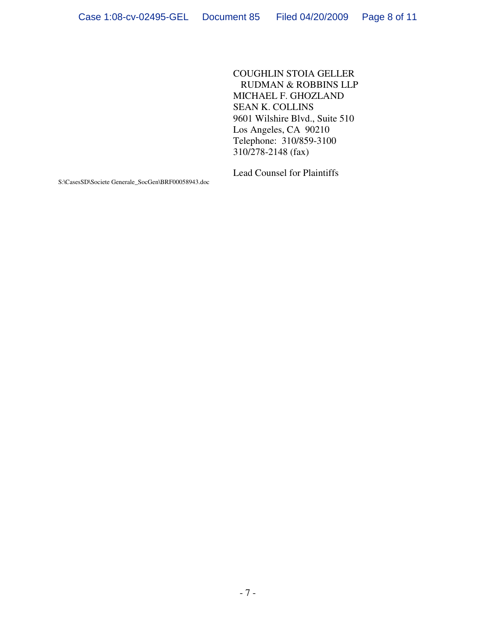COUGHLIN STOIA GELLER RUDMAN & ROBBINS LLP MICHAEL F. GHOZLAND SEAN K. COLLINS 9601 Wilshire Blvd., Suite 510 Los Angeles, CA 90210 Telephone: 310/859-3100 310/278-2148 (fax)

Lead Counsel for Plaintiffs

S:\CasesSD\Societe Generale\_SocGen\BRF00058943.doc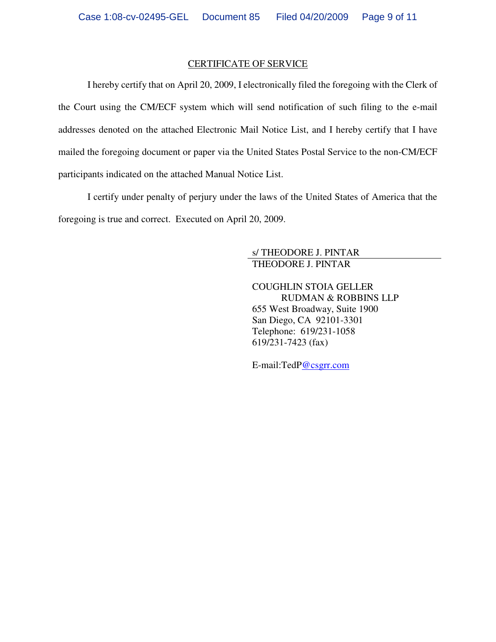#### CERTIFICATE OF SERVICE

I hereby certify that on April 20, 2009, I electronically filed the foregoing with the Clerk of the Court using the CM/ECF system which will send notification of such filing to the e-mail addresses denoted on the attached Electronic Mail Notice List, and I hereby certify that I have mailed the foregoing document or paper via the United States Postal Service to the non-CM/ECF participants indicated on the attached Manual Notice List.

I certify under penalty of perjury under the laws of the United States of America that the foregoing is true and correct. Executed on April 20, 2009.

#### s/ THEODORE J. PINTAR THEODORE J. PINTAR

COUGHLIN STOIA GELLER RUDMAN & ROBBINS LLP 655 West Broadway, Suite 1900 San Diego, CA 92101-3301 Telephone: 619/231-1058 619/231-7423 (fax)

E-mail:TedP@csgrr.com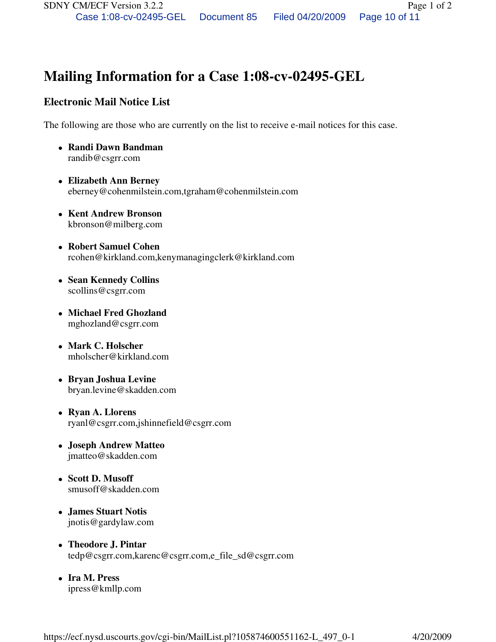# **Mailing Information for a Case 1:08-cv-02495-GEL**

## **Electronic Mail Notice List**

The following are those who are currently on the list to receive e-mail notices for this case.

- **Randi Dawn Bandman**  randib@csgrr.com
- **Elizabeth Ann Berney**  eberney@cohenmilstein.com,tgraham@cohenmilstein.com
- **Kent Andrew Bronson**  kbronson@milberg.com
- **Robert Samuel Cohen**  rcohen@kirkland.com,kenymanagingclerk@kirkland.com
- **Sean Kennedy Collins**  scollins@csgrr.com
- **Michael Fred Ghozland**  mghozland@csgrr.com
- **Mark C. Holscher**  mholscher@kirkland.com
- **Bryan Joshua Levine**  bryan.levine@skadden.com
- **Ryan A. Llorens**  ryanl@csgrr.com,jshinnefield@csgrr.com
- **Joseph Andrew Matteo**  jmatteo@skadden.com
- **Scott D. Musoff**  smusoff@skadden.com
- **James Stuart Notis**  jnotis@gardylaw.com
- **Theodore J. Pintar**  tedp@csgrr.com,karenc@csgrr.com,e\_file\_sd@csgrr.com
- **Ira M. Press**  ipress@kmllp.com